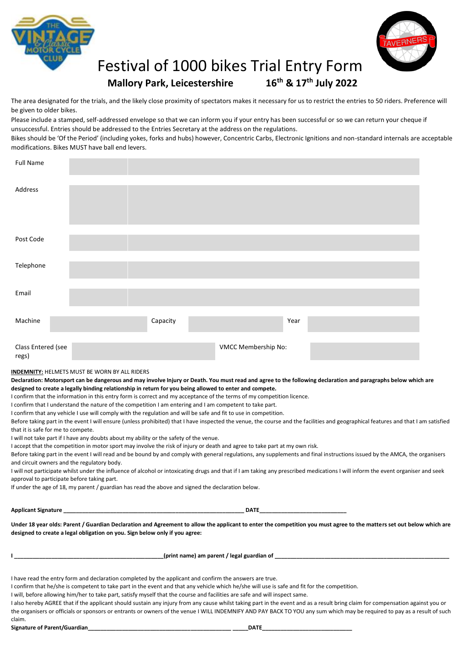



## Festival of 1000 bikes Trial Entry Form **Mallory Park, Leicestershire th & 17 th July 2022**

The area designated for the trials, and the likely close proximity of spectators makes it necessary for us to restrict the entries to 50 riders. Preference will be given to older bikes.

Please include a stamped, self-addressed envelope so that we can inform you if your entry has been successful or so we can return your cheque if unsuccessful. Entries should be addressed to the Entries Secretary at the address on the regulations.

Bikes should be 'Of the Period' (including yokes, forks and hubs) however, Concentric Carbs, Electronic Ignitions and non-standard internals are acceptable modifications. Bikes MUST have ball end levers.

| <b>Full Name</b>            |          |                     |      |  |
|-----------------------------|----------|---------------------|------|--|
| Address                     |          |                     |      |  |
| Post Code                   |          |                     |      |  |
| Telephone                   |          |                     |      |  |
| Email                       |          |                     |      |  |
| Machine                     | Capacity |                     | Year |  |
| Class Entered (see<br>regs) |          | VMCC Membership No: |      |  |

**INDEMNITY:** HELMETS MUST BE WORN BY ALL RIDERS

**Declaration: Motorsport can be dangerous and may involve Injury or Death. You must read and agree to the following declaration and paragraphs below which are designed to create a legally binding relationship in return for you being allowed to enter and compete.**

I confirm that the information in this entry form is correct and my acceptance of the terms of my competition licence.

I confirm that I understand the nature of the competition I am entering and I am competent to take part.

I confirm that any vehicle I use will comply with the regulation and will be safe and fit to use in competition.

Before taking part in the event I will ensure (unless prohibited) that I have inspected the venue, the course and the facilities and geographical features and that I am satisfied that it is safe for me to compete.

I will not take part if I have any doubts about my ability or the safety of the venue.

I accept that the competition in motor sport may involve the risk of injury or death and agree to take part at my own risk.

Before taking part in the event I will read and be bound by and comply with general regulations, any supplements and final instructions issued by the AMCA, the organisers and circuit owners and the regulatory body.

I will not participate whilst under the influence of alcohol or intoxicating drugs and that if I am taking any prescribed medications I will inform the event organiser and seek approval to participate before taking part.

If under the age of 18, my parent / guardian has read the above and signed the declaration below.

| <b>Applicant S</b><br>מר<br>Signature | ---- |
|---------------------------------------|------|
|---------------------------------------|------|

**Under 18 year olds: Parent / Guardian Declaration and Agreement to allow the applicant to enter the competition you must agree to the matters set out below which are designed to create a legal obligation on you. Sign below only if you agree:**

**I \_\_\_\_\_\_\_\_\_\_\_\_\_\_\_\_\_\_\_\_\_\_\_\_\_\_\_\_\_\_\_\_\_\_\_\_\_\_\_\_\_\_\_\_\_\_\_\_(print name) am parent / legal guardian of \_\_\_\_\_\_\_\_\_\_\_\_\_\_\_\_\_\_\_\_\_\_\_\_\_\_\_\_\_\_\_\_\_\_\_\_\_\_\_\_\_\_\_\_\_\_\_\_\_\_\_\_\_\_\_\_**

I have read the entry form and declaration completed by the applicant and confirm the answers are true.

I confirm that he/she is competent to take part in the event and that any vehicle which he/she will use is safe and fit for the competition.

I will, before allowing him/her to take part, satisfy myself that the course and facilities are safe and will inspect same.

I also hereby AGREE that if the applicant should sustain any injury from any cause whilst taking part in the event and as a result bring claim for compensation against you or the organisers or officials or sponsors or entrants or owners of the venue I WILL INDEMNIFY AND PAY BACK TO YOU any sum which may be required to pay as a result of such

claim.